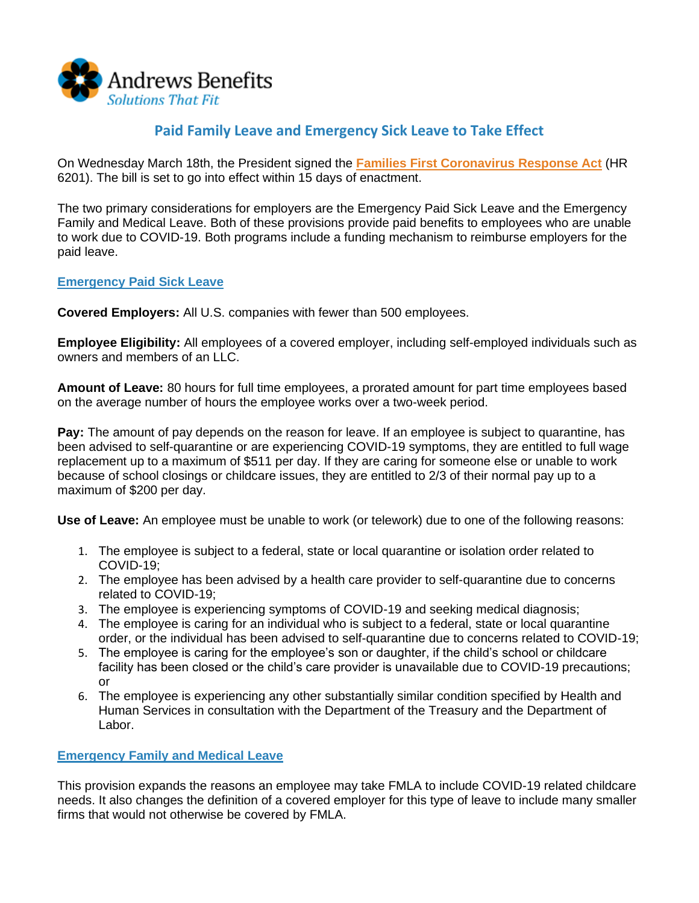

# **Paid Family Leave and Emergency Sick Leave to Take Effect**

On Wednesday March 18th, the President signed the **[Families First Coronavirus Response Act](http://r20.rs6.net/tn.jsp?f=001SEU5UDUl06PX6FfqGI1wXxmd0UxAp8zBWZBvaEKPa-20ckZUQ8i9Bq0HTMF13qL9Ps4igdslRN_L2l_MamJ-PwdZXT0UaYAnJ55oxqrCMDyzBa_hb96DuLlcywxsZwNsaFVE1zQqXoYF6lAGIhGZog8Gg7bZO4Z5T1XmSWugf6eWsdG8Ow2sZXygRP1FsnKWW8SU0pH7sZhEWCnvOm5u0A==&c=LjORhnAZvEwATtxlNcLourm1Op8FF1LT38ginKdM_pTj5F4eydiivQ==&ch=h97Q-oSR-Owe5ZC_JyAzrtIA_JEuAySSZUGhQQE7SYqB9G9QbGwuCA==)** (HR 6201). The bill is set to go into effect within 15 days of enactment.

The two primary considerations for employers are the Emergency Paid Sick Leave and the Emergency Family and Medical Leave. Both of these provisions provide paid benefits to employees who are unable to work due to COVID-19. Both programs include a funding mechanism to reimburse employers for the paid leave.

# **Emergency Paid Sick Leave**

**Covered Employers:** All U.S. companies with fewer than 500 employees.

**Employee Eligibility:** All employees of a covered employer, including self-employed individuals such as owners and members of an LLC.

**Amount of Leave:** 80 hours for full time employees, a prorated amount for part time employees based on the average number of hours the employee works over a two-week period.

**Pay:** The amount of pay depends on the reason for leave. If an employee is subject to quarantine, has been advised to self-quarantine or are experiencing COVID-19 symptoms, they are entitled to full wage replacement up to a maximum of \$511 per day. If they are caring for someone else or unable to work because of school closings or childcare issues, they are entitled to 2/3 of their normal pay up to a maximum of \$200 per day.

**Use of Leave:** An employee must be unable to work (or telework) due to one of the following reasons:

- 1. The employee is subject to a federal, state or local quarantine or isolation order related to COVID-19;
- 2. The employee has been advised by a health care provider to self-quarantine due to concerns related to COVID-19;
- 3. The employee is experiencing symptoms of COVID-19 and seeking medical diagnosis;
- 4. The employee is caring for an individual who is subject to a federal, state or local quarantine order, or the individual has been advised to self-quarantine due to concerns related to COVID-19;
- 5. The employee is caring for the employee's son or daughter, if the child's school or childcare facility has been closed or the child's care provider is unavailable due to COVID-19 precautions; or
- 6. The employee is experiencing any other substantially similar condition specified by Health and Human Services in consultation with the Department of the Treasury and the Department of Labor.

# **Emergency Family and Medical Leave**

This provision expands the reasons an employee may take FMLA to include COVID-19 related childcare needs. It also changes the definition of a covered employer for this type of leave to include many smaller firms that would not otherwise be covered by FMLA.